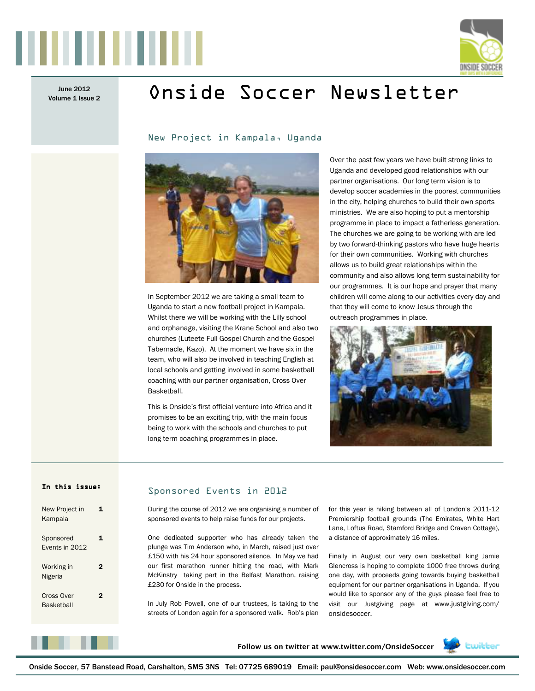

Volume 1 Issue 2

# June 2012 **Onside Soccer Newsletter**

New Project in Kampala, Uganda



In September 2012 we are taking a small team to Uganda to start a new football project in Kampala. Whilst there we will be working with the Lilly school and orphanage, visiting the Krane School and also two churches (Luteete Full Gospel Church and the Gospel Tabernacle, Kazo). At the moment we have six in the team, who will also be involved in teaching English at local schools and getting involved in some basketball coaching with our partner organisation, Cross Over Basketball.

This is Onside's first official venture into Africa and it promises to be an exciting trip, with the main focus being to work with the schools and churches to put long term coaching programmes in place.

Over the past few years we have built strong links to Uganda and developed good relationships with our partner organisations. Our long term vision is to develop soccer academies in the poorest communities in the city, helping churches to build their own sports ministries. We are also hoping to put a mentorship programme in place to impact a fatherless generation. The churches we are going to be working with are led by two forward-thinking pastors who have huge hearts for their own communities. Working with churches allows us to build great relationships within the community and also allows long term sustainability for our programmes. It is our hope and prayer that many children will come along to our activities every day and that they will come to know Jesus through the outreach programmes in place.



#### In this issue:

| New Project in<br>Kampala       |    |
|---------------------------------|----|
| Sponsored<br>Fvents in 2012     | 1. |
| Working in<br>Nigeria           | 2  |
| Cross Over<br><b>Basketball</b> | 2  |

#### Sponsored Events in 2012

During the course of 2012 we are organising a number of sponsored events to help raise funds for our projects.

One dedicated supporter who has already taken the plunge was Tim Anderson who, in March, raised just over £150 with his 24 hour sponsored silence. In May we had our first marathon runner hitting the road, with Mark McKinstry taking part in the Belfast Marathon, raising £230 for Onside in the process.

In July Rob Powell, one of our trustees, is taking to the streets of London again for a sponsored walk. Rob's plan for this year is hiking between all of London's 2011-12 Premiership football grounds (The Emirates, White Hart Lane, Loftus Road, Stamford Bridge and Craven Cottage), a distance of approximately 16 miles.

Finally in August our very own basketball king Jamie Glencross is hoping to complete 1000 free throws during one day, with proceeds going towards buying basketball equipment for our partner organisations in Uganda. If you would like to sponsor any of the guys please feel free to visit our Justgiving page at www.justgiving.com/ onsidesoccer.



**Follow us on twitter at www.twitter.com/OnsideSoccer**